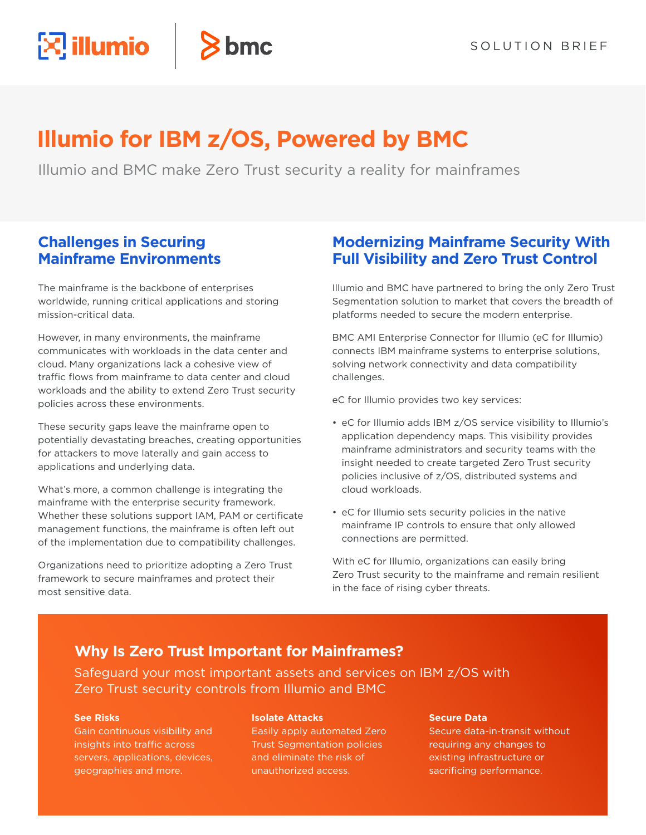# **Illumio for IBM z/OS, Powered by BMC**

 $8<sub>bmc</sub>$ 

Illumio and BMC make Zero Trust security a reality for mainframes

### **Challenges in Securing Mainframe Environments**

 $\mathbb{Z}$  illumio

The mainframe is the backbone of enterprises worldwide, running critical applications and storing mission-critical data.

However, in many environments, the mainframe communicates with workloads in the data center and cloud. Many organizations lack a cohesive view of traffic flows from mainframe to data center and cloud workloads and the ability to extend Zero Trust security policies across these environments.

These security gaps leave the mainframe open to potentially devastating breaches, creating opportunities for attackers to move laterally and gain access to applications and underlying data.

What's more, a common challenge is integrating the mainframe with the enterprise security framework. Whether these solutions support IAM, PAM or certificate management functions, the mainframe is often left out of the implementation due to compatibility challenges.

Organizations need to prioritize adopting a Zero Trust framework to secure mainframes and protect their most sensitive data.

## **Modernizing Mainframe Security With Full Visibility and Zero Trust Control**

Illumio and BMC have partnered to bring the only Zero Trust Segmentation solution to market that covers the breadth of platforms needed to secure the modern enterprise.

BMC AMI Enterprise Connector for Illumio (eC for Illumio) connects IBM mainframe systems to enterprise solutions, solving network connectivity and data compatibility challenges.

eC for Illumio provides two key services:

- eC for Illumio adds IBM z/OS service visibility to Illumio's application dependency maps. This visibility provides mainframe administrators and security teams with the insight needed to create targeted Zero Trust security policies inclusive of z/OS, distributed systems and cloud workloads.
- eC for Illumio sets security policies in the native mainframe IP controls to ensure that only allowed connections are permitted.

With eC for Illumio, organizations can easily bring Zero Trust security to the mainframe and remain resilient in the face of rising cyber threats.

### **Why Is Zero Trust Important for Mainframes?**

Safeguard your most important assets and services on IBM z/OS with Zero Trust security controls from Illumio and BMC

#### **See Risks**

Gain continuous visibility and insights into traffic across servers, applications, devices, geographies and more.

#### **Isolate Attacks**

Easily apply automated Zero Trust Segmentation policies and eliminate the risk of unauthorized access.

#### **Secure Data**

Secure data-in-transit without requiring any changes to existing infrastructure or sacrificing performance.